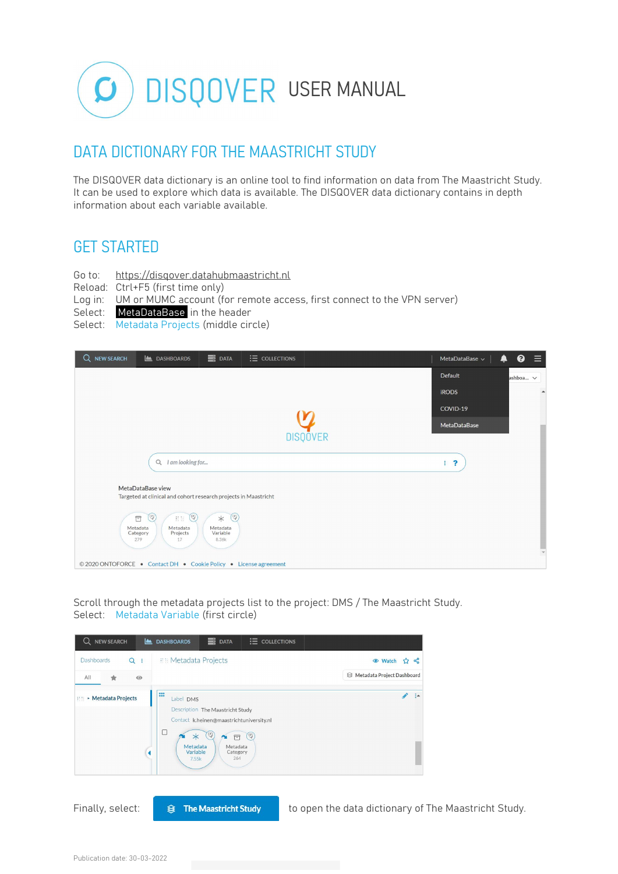

### DATA DICTIONARY FOR THE MAASTRICHT STUDY

The DISQOVER data dictionary is an online tool to find information on data from The Maastricht Study. It can be used to explore which data is available. The DISQOVER data dictionary contains in depth information about each variable available.

### GET STARTED

- Go to: https://disqover.datahubmaastricht.nl
- Reload: Ctrl+F5 (first time only)
- Log in: UM or MUMC account (for remote access, first connect to the VPN server)
- Select: MetaDataBase in the header
- Select: Metadata Projects (middle circle)

| $B$ DATA<br>$\equiv$ COLLECTIONS<br>Q NEW SEARCH<br><b>LASHBOARDS</b>                                                                     | MetaDataBase $\sim$                              | $\equiv$<br>❸<br>♠       |
|-------------------------------------------------------------------------------------------------------------------------------------------|--------------------------------------------------|--------------------------|
|                                                                                                                                           | Default                                          | ashboa v                 |
|                                                                                                                                           | <b>iRODS</b>                                     | $\blacktriangle$         |
|                                                                                                                                           |                                                  |                          |
|                                                                                                                                           | MetaDataBase                                     |                          |
| <b>DISQOVER</b>                                                                                                                           |                                                  |                          |
| I am looking for<br>$\alpha$                                                                                                              | $\ddot{\phantom{0}}$<br>$\ddot{\ddot{\text{r}}}$ |                          |
| MetaDataBase view                                                                                                                         |                                                  |                          |
| Targeted at clinical and cohort research projects in Maastricht                                                                           |                                                  |                          |
| (9)<br>(9)<br>(9)<br>$\ast$<br>$\Box$<br>芸芸<br>Metadata<br>Metadata<br>Metadata<br>Variable<br>Category<br>Projects<br>8.36k<br>279<br>17 |                                                  | $\overline{\phantom{a}}$ |
| © 2020 ONTOFORCE . Contact DH . Cookie Policy . License agreement                                                                         |                                                  |                          |

Scroll through the metadata projects list to the project: DMS / The Maastricht Study. Select: Metadata Variable (first circle)

| <b>NEW SEARCH</b><br>Q<br><u>آڪ</u> | $\equiv$ DATA<br><b>E</b> COLLECTIONS<br><b>DASHBOARDS</b>                                                                                                                                |                                                      |  |
|-------------------------------------|-------------------------------------------------------------------------------------------------------------------------------------------------------------------------------------------|------------------------------------------------------|--|
| Dashboards<br>$Q$ :                 | <b>IIII Metadata Projects</b>                                                                                                                                                             | <b>◎</b> Watch<br>28                                 |  |
| All<br>$\odot$<br>★                 |                                                                                                                                                                                           | S Metadata Project Dashboard                         |  |
| :::: ▶ Metadata Projects            | m<br>Label DMS<br>Description The Maastricht Study<br>Contact k.heinen@maastrichtuniversity.nl<br>$(\Psi)$<br>$\ast$<br>日<br>Metadata<br>Metadata<br>Variable<br>Category<br>264<br>7.55k | ÷                                                    |  |
| Finally, select:                    | <b>The Maastricht Study</b><br>≋                                                                                                                                                          | to open the data dictionary of The Maastricht Study. |  |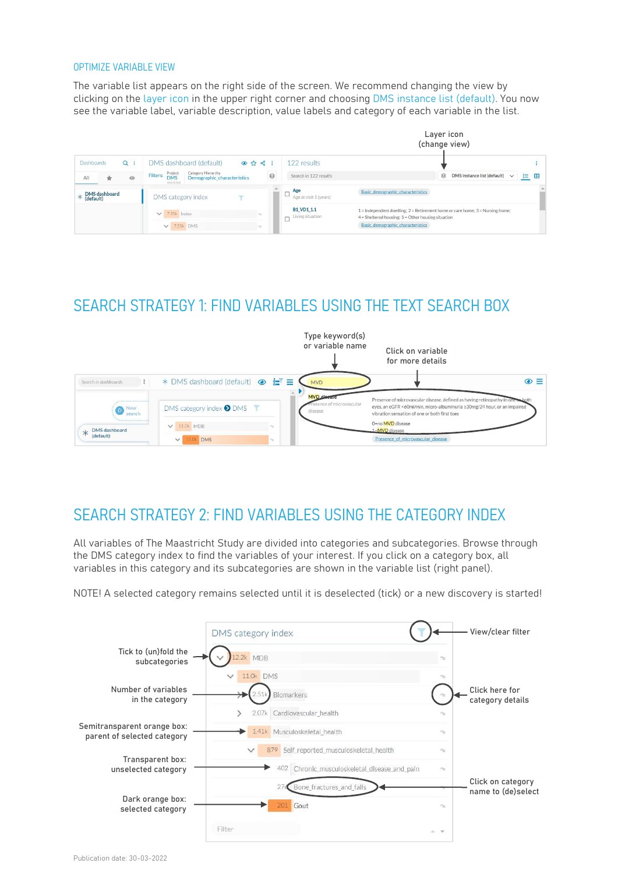#### OPTIMIZE VARIABLE VIEW

The variable list appears on the right side of the screen. We recommend changing the view by clicking on the layer icon in the upper right corner and choosing DMS instance list (default). You now see the variable label, variable description, value labels and category of each variable in the list.

|            |                                                                                 |         |                                                                                                      |       |           |                                                 | Layer icon<br>(change view)                                                                                                                   |  |  |
|------------|---------------------------------------------------------------------------------|---------|------------------------------------------------------------------------------------------------------|-------|-----------|-------------------------------------------------|-----------------------------------------------------------------------------------------------------------------------------------------------|--|--|
| Dashboards |                                                                                 | $Q$ :   | DMS dashboard (default)                                                                              | ◎☆ ☆: |           | 122 results                                     |                                                                                                                                               |  |  |
| All        | ŵ                                                                               | $\odot$ | Category Hierarchy<br>Project<br>Filters:<br><b>DMS</b><br>Demographic characteristics<br>restricted |       | $\otimes$ | Search in 122 results                           | 8<br>DMS instance list (default)<br>挂<br>雷<br>$\vee$                                                                                          |  |  |
|            | $*\n \begin{array}{c}\n \text{DMS dashboard} \\ \text{(default)}\n \end{array}$ |         | DMS category index                                                                                   |       |           | Age<br>Age at visit 1 (years)                   | Basic demographic characteristics                                                                                                             |  |  |
|            |                                                                                 |         | $\times$ 7.55k Index                                                                                 |       |           | <b>B1_VD1_1.1</b><br>Living situation<br>$\sim$ | $1 =$ Independent dwelling; $2 =$ Retirement home or care home; $3 =$ Nursing home;<br>$4 =$ Sheltered housing: $5 =$ Other housing situation |  |  |
|            |                                                                                 |         | $V$ 7.55k DMS                                                                                        |       |           |                                                 | Basic demographic characteristics                                                                                                             |  |  |

# SEARCH STRATEGY 1: FIND VARIABLES USING THE TEXT SEARCH BOX



## SEARCH STRATEGY 2: FIND VARIABLES USING THE CATEGORY INDEX

All variables of The Maastricht Study are divided into categories and subcategories. Browse through the DMS category index to find the variables of your interest. If you click on a category box, all variables in this category and its subcategories are shown in the variable list (right panel).

NOTE! A selected category remains selected until it is deselected (tick) or a new discovery is started!